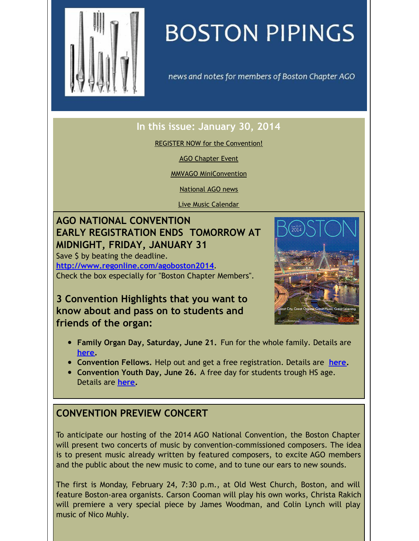<span id="page-0-0"></span>

# **BOSTON PIPINGS**

news and notes for members of Boston Chapter AGO

#### **In this issue: January 30, 2014**

REGISTER NOW for the [Convention!](#page-0-0)

AGO [Chapter](#page-0-0) Event

MMVAGO [MiniConvention](#page-0-0)

[National](#page-0-0) AGO news

Live Music [Calendar](#page-0-0)

## **AGO NATIONAL CONVENTION EARLY REGISTRATION ENDS TOMORROW AT MIDNIGHT, FRIDAY, JANUARY 31**

Save \$ by beating the deadline. **<http://www.regonline.com/agoboston2014>**. Check the box especially for "Boston Chapter Members".

**3 Convention Highlights that you want to know about and pass on to students and friends of the organ:**



- **Family Organ Day, Saturday, June 21.** Fun for the whole family. Details are **[here](http://www.agoboston2014.org/convention-overview/familyday/).**
- **Convention Fellows.** Help out and get a free registration. Details are **[here](http://www.agoboston2014.org/fellows/).**
- **Convention Youth Day, June 26.** A free day for students trough HS age. Details are **[here](http://www.agoboston2014.org/youth/).**

### **CONVENTION PREVIEW CONCERT**

To anticipate our hosting of the 2014 AGO National Convention, the Boston Chapter will present two concerts of music by convention-commissioned composers. The idea is to present music already written by featured composers, to excite AGO members and the public about the new music to come, and to tune our ears to new sounds.

The first is Monday, February 24, 7:30 p.m., at Old West Church, Boston, and will feature Boston-area organists. Carson Cooman will play his own works, Christa Rakich will premiere a very special piece by James Woodman, and Colin Lynch will play music of Nico Muhly.